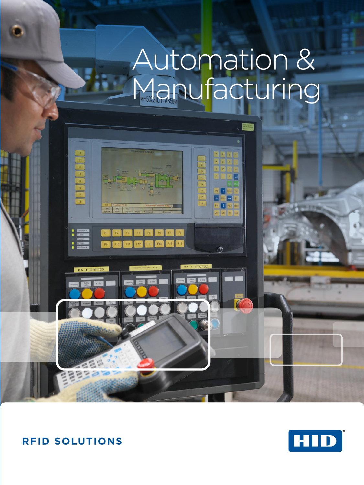# Automation & Manufacturing



### **RFID SOLUTIONS**

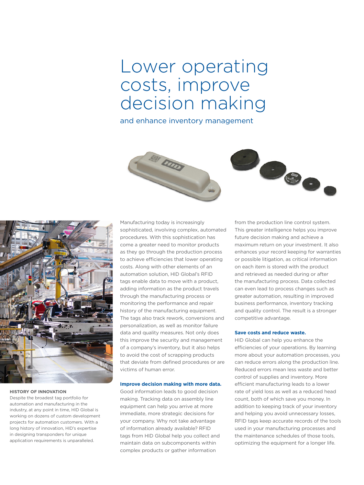## Lower operating costs, improve decision making

and enhance inventory management







#### **HISTORY OF INNOVATION**

Despite the broadest tag portfolio for automation and manufacturing in the industry, at any point in time, HID Global is working on dozens of custom development projects for automation customers. With a long history of innovation, HID's expertise in designing transponders for unique application requirements is unparalleled.

Manufacturing today is increasingly sophisticated, involving complex, automated procedures. With this sophistication has come a greater need to monitor products as they go through the production process to achieve efficiencies that lower operating costs. Along with other elements of an automation solution, HID Global's RFID tags enable data to move with a product, adding information as the product travels through the manufacturing process or monitoring the performance and repair history of the manufacturing equipment. The tags also track rework, conversions and personalization, as well as monitor failure data and quality measures. Not only does this improve the security and management of a company's inventory, but it also helps to avoid the cost of scrapping products that deviate from defined procedures or are victims of human error.

#### **Improve decision making with more data.**

Good information leads to good decision making. Tracking data on assembly line equipment can help you arrive at more immediate, more strategic decisions for your company. Why not take advantage of information already available? RFID tags from HID Global help you collect and maintain data on subcomponents within complex products or gather information

from the production line control system. This greater intelligence helps you improve future decision making and achieve a maximum return on your investment. It also enhances your record keeping for warranties or possible litigation, as critical information on each item is stored with the product and retrieved as needed during or after the manufacturing process. Data collected can even lead to process changes such as greater automation, resulting in improved business performance, inventory tracking and quality control. The result is a stronger competitive advantage.

#### **Save costs and reduce waste.**

HID Global can help you enhance the efficiencies of your operations. By learning more about your automation processes, you can reduce errors along the production line. Reduced errors mean less waste and better control of supplies and inventory. More efficient manufacturing leads to a lower rate of yield loss as well as a reduced head count, both of which save you money. In addition to keeping track of your inventory and helping you avoid unnecessary losses, RFID tags keep accurate records of the tools used in your manufacturing processes and the maintenance schedules of those tools, optimizing the equipment for a longer life.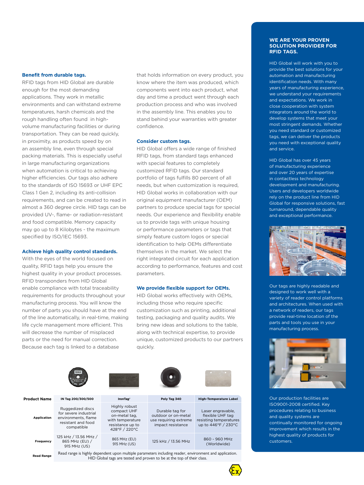#### **Benefit from durable tags.**

RFID tags from HID Global are durable enough for the most demanding applications. They work in metallic environments and can withstand extreme temperatures, harsh chemicals and the rough handling often found in highvolume manufacturing facilities or during transportation. They can be read quickly, in proximity, as products speed by on an assembly line, even through special packing materials. This is especially useful in large manufacturing organizations when automation is critical to achieving higher efficiencies. Our tags also adhere to the standards of ISO 15693 or UHF EPC Class 1 Gen 2, including its anti-collision requirements, and can be created to read in almost a 360 degree circle. HID tags can be provided UV-, flame- or radiation-resistant and food compatible. Memory capacity may go up to 8 Kilobytes - the maximum specified by ISO/IEC 15693.

#### **Achieve high quality control standards.**

With the eyes of the world focused on quality, RFID tags help you ensure the highest quality in your product processes. RFID transponders from HID Global enable compliance with total traceability requirements for products throughout your manufacturing process. You will know the number of parts you should have at the end of the line automatically, in real-time, making life cycle management more efficient. This will decrease the number of misplaced parts or the need for manual correction. Because each tag is linked to a database

that holds information on every product, you know where the item was produced, which components went into each product, what day and time a product went through each production process and who was involved in the assembly line. This enables you to stand behind your warranties with greater confidence.

#### **Consider custom tags.**

HID Global offers a wide range of finished RFID tags, from standard tags enhanced with special features to completely customized RFID tags. Our standard portfolio of tags fulfills 80 percent of all needs, but when customization is required, HID Global works in collaboration with our original equipment manufacturer (OEM) partners to produce special tags for special needs. Our experience and flexibility enable us to provide tags with unique housing or performance parameters or tags that simply feature custom logos or special identification to help OEMs differentiate themselves in the market. We select the right integrated circuit for each application according to performance, features and cost parameters.

#### **We provide flexible support for OEMs.**

HID Global works effectively with OEMs, including those who require specific customization such as printing, additional testing, packaging and quality audits. We bring new ideas and solutions to the table, along with technical expertise, to provide unique, customized products to our partners quickly.

| <b>Product Name</b> | IN Tag 200/300/500                                                                                                                                                               | IronTag <sup>®</sup>                                                                                   | Poly Tag 340                                                                         | <b>High-Temperature Label</b>                                                          |
|---------------------|----------------------------------------------------------------------------------------------------------------------------------------------------------------------------------|--------------------------------------------------------------------------------------------------------|--------------------------------------------------------------------------------------|----------------------------------------------------------------------------------------|
| <b>Application</b>  | Ruggedized discs<br>for severe industrial<br>environments, flame<br>resistant and food<br>compatible                                                                             | Highly robust<br>compact UHF<br>on-metal tag,<br>with temperature<br>resistance up to<br>428°F / 220°C | Durable tag for<br>outdoor or on-metal<br>use requiring extreme<br>impact resistance | Laser engravable,<br>flexible UHF tag<br>resisting temperatures<br>up to 446°F / 230°C |
| Frequency           | 125 kHz / 13.56 MHz /<br>865 MHz (EU) /<br>915 MHz (US)                                                                                                                          | 865 MHz (EU)<br>915 MHz (US)                                                                           | 125 kHz / 13.56 MHz                                                                  | 860 - 960 MHz<br>(Worldwide)                                                           |
| <b>Read Range</b>   | Read range is highly dependent upon multiple parameters including reader, environment and application.<br>HID Global tags are tested and proven to be at the top of their class. |                                                                                                        |                                                                                      |                                                                                        |

#### **WE ARE YOUR PROVEN SOLUTION PROVIDER FOR RFID TAGS.**

HID Global will work with you to provide the best solutions for your automation and manufacturing identification needs. With many years of manufacturing experience, we understand your requirements and expectations. We work in close cooperation with system integrators around the world to develop systems that meet your most stringent demands. Whether you need standard or customized tags, we can deliver the products you need with exceptional quality and service.

HID Global has over 45 years of manufacturing experience and over 20 years of expertise in contactless technology development and manufacturing. Users and developers worldwide rely on the product line from HID Global for responsive solutions, fast turnaround, dependable quality and exceptional performance.



Our tags are highly readable and designed to work well with a variety of reader control platforms and architectures. When used with a network of readers, our tags provide real-time location of the parts and tools you use in your manufacturing process.



Our production facilities are ISO9001-2008 certified. Key procedures relating to business and quality systems are continually monitored for ongoing improvement which results in the highest quality of products for customers.